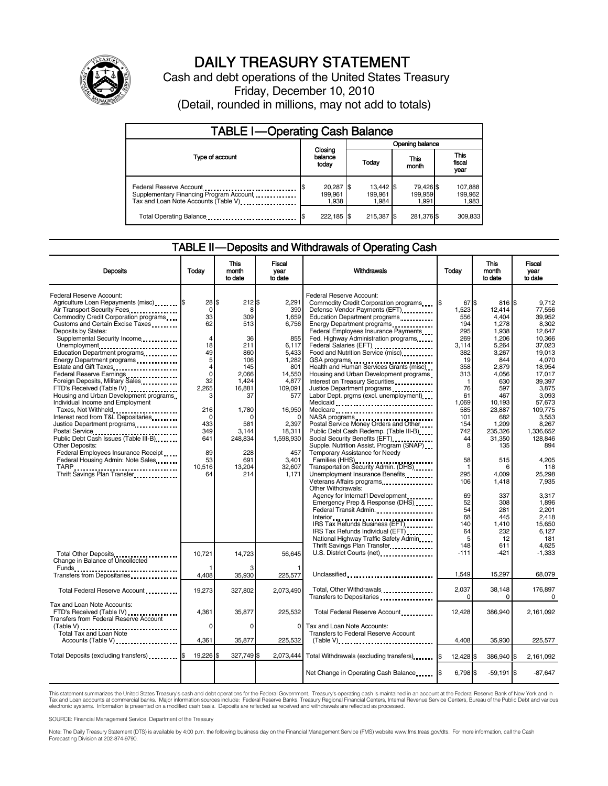

# DAILY TREASURY STATEMENT

Cash and debt operations of the United States Treasury Friday, December 10, 2010 (Detail, rounded in millions, may not add to totals)

| <b>TABLE I-Operating Cash Balance</b>                                                                       |                               |                                  |                               |                               |  |  |
|-------------------------------------------------------------------------------------------------------------|-------------------------------|----------------------------------|-------------------------------|-------------------------------|--|--|
|                                                                                                             |                               |                                  | Opening balance               |                               |  |  |
| Type of account                                                                                             | Closing<br>balance<br>today   | Today                            | This<br>month                 | <b>This</b><br>fiscal<br>year |  |  |
| Federal Reserve Account<br>Supplementary Financing Program Account<br>Tax and Loan Note Accounts (Table V). | 20,287 \$<br>199.961<br>1,938 | $13.442$ \\$<br>199.961<br>1.984 | 79,426 \$<br>199.959<br>1,991 | 107,888<br>199,962<br>1,983   |  |  |
| Total Operating Balance                                                                                     | 222,185 \$                    | 215,387                          | 281,376 \$                    | 309,833                       |  |  |

#### TABLE II — Deposits and Withdrawals of Operating Cash

| <b>Deposits</b>                                                                                                                                                                                                                                       | Todav                                                        | This<br>month<br>to date                            | Fiscal<br>year<br>to date                                  | Withdrawals                                                                                                                                                                                                                                                                                           | Todav                                                        | <b>This</b><br>month<br>to date                               | <b>Fiscal</b><br>vear<br>to date                                          |
|-------------------------------------------------------------------------------------------------------------------------------------------------------------------------------------------------------------------------------------------------------|--------------------------------------------------------------|-----------------------------------------------------|------------------------------------------------------------|-------------------------------------------------------------------------------------------------------------------------------------------------------------------------------------------------------------------------------------------------------------------------------------------------------|--------------------------------------------------------------|---------------------------------------------------------------|---------------------------------------------------------------------------|
| Federal Reserve Account:<br>Agriculture Loan Repayments (misc) [\$<br>Air Transport Security Fees<br>Commodity Credit Corporation programs<br>Customs and Certain Excise Taxes<br>Deposits by States:<br>Supplemental Security Income<br>Unemployment | 28S<br>0<br>33<br>62<br>$\overline{4}$<br>18                 | 212S<br>8<br>309<br>513<br>36<br>211                | 2.291<br>390<br>1,659<br>6,756<br>855<br>6,117             | Federal Reserve Account:<br>Commodity Credit Corporation programs<br>Defense Vendor Payments (EFT)<br>Education Department programs<br>Energy Department programs<br>Federal Employees Insurance Payments<br>Fed. Highway Administration programs<br>Federal Salaries (EFT)<br>Federal Salaries (EFT) | 67 \$<br>I\$<br>1,523<br>556<br>194<br>295<br>269<br>3.114   | 816 \$<br>12,414<br>4,404<br>1,278<br>1,938<br>1,206<br>5,264 | 9.712<br>77,556<br>39.952<br>8.302<br>12.647<br>10,366<br>37,023          |
| Education Department programs<br>Energy Department programs<br>Federal Reserve Earnings<br>Foreign Deposits, Military Sales<br>FTD's Received (Table IV) <b>[19]</b><br>Housing and Urban Development programs<br>Individual Income and Employment    | 49<br>5<br>$\overline{4}$<br>$\mathbf 0$<br>32<br>2,265<br>з | 860<br>106<br>145<br>2,066<br>1,424<br>16,881<br>37 | 5.433<br>1,282<br>801<br>14,550<br>4,877<br>109,091<br>577 | Food and Nutrition Service (misc)<br>GSA programs<br>Health and Human Services Grants (misc)<br>Housing and Urban Development programs<br>Interest on Treasury Securities<br>Justice Department programs<br>Labor Dept. prgms (excl. unemployment)<br>Medicaid                                        | 382<br>19<br>358<br>313<br>$\mathbf{1}$<br>76<br>61<br>1,069 | 3,267<br>844<br>2,879<br>4,056<br>630<br>597<br>467<br>10,193 | 19.013<br>4,070<br>18,954<br>17.017<br>39,397<br>3,875<br>3.093<br>57,673 |
| Taxes, Not Withheld<br>Interest recd from T&L Depositaries<br>Justice Department programs<br>Public Debt Cash Issues (Table III-B)<br><b>Other Deposits:</b><br>Federal Employees Insurance Receipt                                                   | 216<br>$\Omega$<br>433<br>349<br>641<br>89                   | 1,780<br>581<br>3.144<br>248,834<br>228             | 16,950<br>2.397<br>18,311<br>1,598,930<br>457              | Medicare<br>NASA programs<br>Postal Service Money Orders and Other<br>Public Debt Cash Redemp. (Table III-B)<br>Social Security Benefits (EFT) <b>[10]</b> Social Security Benefits (EFT)<br>Supple. Nutrition Assist. Program (SNAP)<br>Temporary Assistance for Needy                               | 585<br>101<br>154<br>742<br>44<br>8                          | 23,887<br>682<br>1,209<br>235,326<br>31,350<br>135            | 109,775<br>3,553<br>8.267<br>1,336,652<br>128.846<br>894                  |
| Federal Housing Admin: Note Sales<br>TARP <u>.</u><br>Thrift Savings Plan Transfer                                                                                                                                                                    | 53<br>10,516<br>64                                           | 691<br>13,204<br>214                                | 3,401<br>32.607<br>1,171                                   | Transportation Security Admin. (DHS)<br>Unemployment Insurance Benefits<br>Other Withdrawals:                                                                                                                                                                                                         | 58<br>$\mathbf{1}$<br>295<br>106                             | 515<br>6<br>4,009<br>1,418<br>337                             | 4,205<br>118<br>25,298<br>7,935                                           |
|                                                                                                                                                                                                                                                       |                                                              |                                                     |                                                            | Agency for Internat'l Development<br>Emergency Prep & Response (DHS)<br>Federal Transit Admin.<br>IRS Tax Refunds Individual (EFT)<br>National Highway Traffic Safety Admin                                                                                                                           | 69<br>52<br>54<br>68<br>140<br>64<br>5<br>148                | 308<br>281<br>445<br>1,410<br>232<br>12                       | 3.317<br>1.896<br>2,201<br>2.418<br>15.650<br>6.127<br>181                |
| Total Other Deposits<br>Change in Balance of Uncollected                                                                                                                                                                                              | 10,721                                                       | 14,723                                              | 56,645                                                     | Thrift Savings Plan Transfer<br>U.S. District Courts (net)<br>1997 - The Museum Museum of District Courts and District Courts                                                                                                                                                                         | $-111$                                                       | 611<br>$-421$                                                 | 4,625<br>$-1,333$                                                         |
| Funds<br>Transfers from Depositaries                                                                                                                                                                                                                  | 4,408                                                        | 35,930                                              | 225,577                                                    | Unclassified                                                                                                                                                                                                                                                                                          | 1,549                                                        | 15,297                                                        | 68,079                                                                    |
| Total Federal Reserve Account                                                                                                                                                                                                                         | 19,273                                                       | 327,802                                             | 2.073.490                                                  | Total, Other Withdrawals<br>Transfers to Depositaries                                                                                                                                                                                                                                                 | 2,037<br>$\Omega$                                            | 38,148<br>0                                                   | 176,897<br>0                                                              |
| Tax and Loan Note Accounts:<br>FTD's Received (Table IV)<br><b>Transfers from Federal Reserve Account</b>                                                                                                                                             | 4,361                                                        | 35,877                                              | 225.532                                                    | Total Federal Reserve Account                                                                                                                                                                                                                                                                         | 12.428                                                       | 386.940                                                       | 2.161.092                                                                 |
| <b>Total Tax and Loan Note</b><br>Accounts (Table V)                                                                                                                                                                                                  | 0<br>4.361                                                   | 0<br>35,877                                         | 0<br>225.532                                               | Tax and Loan Note Accounts:<br>Transfers to Federal Reserve Account<br>$(Table V)$                                                                                                                                                                                                                    | 4.408                                                        | 35.930                                                        | 225.577                                                                   |
| Total Deposits (excluding transfers)                                                                                                                                                                                                                  | 19,226                                                       | 327,749 \$<br>\$.                                   | 2,073,444                                                  | Total Withdrawals (excluding transfers)                                                                                                                                                                                                                                                               | Ι\$<br>12,428 \$                                             | 386,940 \$                                                    | 2,161,092                                                                 |
|                                                                                                                                                                                                                                                       |                                                              |                                                     |                                                            | Net Change in Operating Cash Balance                                                                                                                                                                                                                                                                  | 6,798 \$                                                     | $-59,191$ \$                                                  | $-87,647$                                                                 |

This statement summarizes the United States Treasury's cash and debt operations for the Federal Government. Treasury's operating cash is maintained in an account at the Federal Reserve Bank of New York and in<br>Tax and Loan electronic systems. Information is presented on a modified cash basis. Deposits are reflected as received and withdrawals are reflected as processed.

SOURCE: Financial Management Service, Department of the Treasury

Note: The Daily Treasury Statement (DTS) is available by 4:00 p.m. the following business day on the Financial Management Service (FMS) website www.fms.treas.gov/dts. For more information, call the Cash Forecasting Division at 202-874-9790.